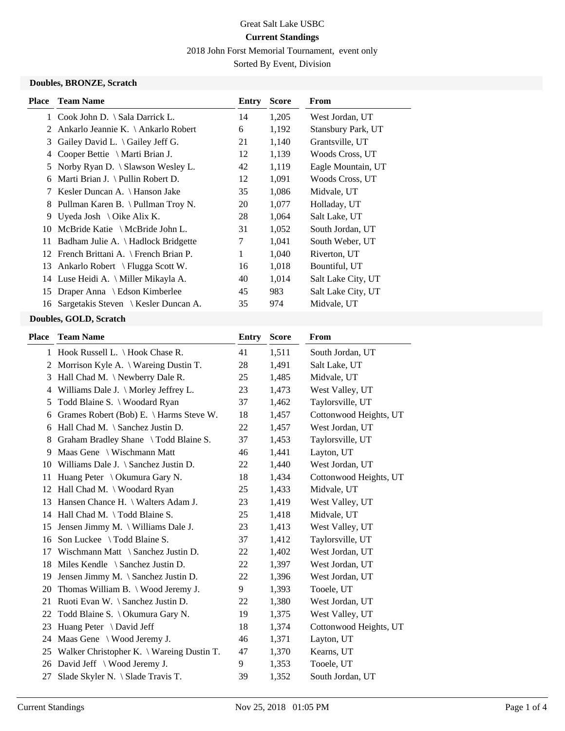2018 John Forst Memorial Tournament, event only

Sorted By Event, Division

#### **Doubles, BRONZE, Scratch**

| <b>Place</b> | <b>Team Name</b>                            | Entry | <b>Score</b> | From               |
|--------------|---------------------------------------------|-------|--------------|--------------------|
| 1            | Cook John D. $\setminus$ Sala Darrick L.    | 14    | 1,205        | West Jordan, UT    |
| 2            | Ankarlo Jeannie K. \ Ankarlo Robert         | 6     | 1,192        | Stansbury Park, UT |
| 3            | Gailey David L. $\setminus$ Gailey Jeff G.  | 21    | 1,140        | Grantsville, UT    |
| 4            | Cooper Bettie $\setminus$ Marti Brian J.    | 12    | 1,139        | Woods Cross, UT    |
| 5.           | Norby Ryan D. $\setminus$ Slawson Wesley L. | 42    | 1,119        | Eagle Mountain, UT |
| 6            | Marti Brian J. \ Pullin Robert D.           | 12    | 1,091        | Woods Cross, UT    |
| 7            | Kesler Duncan A. \ Hanson Jake              | 35    | 1,086        | Midvale, UT        |
| 8            | Pullman Karen B. \ Pullman Troy N.          | 20    | 1,077        | Holladay, UT       |
| 9.           | Uyeda Josh \ Oike Alix K.                   | 28    | 1,064        | Salt Lake, UT      |
| 10           | McBride Katie $\setminus$ McBride John L.   | 31    | 1,052        | South Jordan, UT   |
| 11           | Badham Julie A. \ Hadlock Bridgette         | 7     | 1,041        | South Weber, UT    |
|              | 12 French Brittani A. \ French Brian P.     | 1     | 1,040        | Riverton, UT       |
| 13           | Ankarlo Robert \ Flugga Scott W.            | 16    | 1,018        | Bountiful, UT      |
|              | 14 Luse Heidi A. \ Miller Mikayla A.        | 40    | 1,014        | Salt Lake City, UT |
| 15           | Draper Anna \ Edson Kimberlee               | 45    | 983          | Salt Lake City, UT |
| 16           | Sargetakis Steven \ Kesler Duncan A.        | 35    | 974          | Midvale, UT        |

# **Doubles, GOLD, Scratch**

| <b>Team Name</b>                               | <b>Entry</b>                                                                                                                                                                                                     | <b>Score</b> | <b>From</b>            |
|------------------------------------------------|------------------------------------------------------------------------------------------------------------------------------------------------------------------------------------------------------------------|--------------|------------------------|
|                                                | 41                                                                                                                                                                                                               | 1,511        | South Jordan, UT       |
| Morrison Kyle A. $\setminus$ Wareing Dustin T. | 28                                                                                                                                                                                                               | 1,491        | Salt Lake, UT          |
| Hall Chad M. \ Newberry Dale R.                | 25                                                                                                                                                                                                               | 1,485        | Midvale, UT            |
| Williams Dale J. \ Morley Jeffrey L.           | 23                                                                                                                                                                                                               | 1,473        | West Valley, UT        |
| Todd Blaine S. \ Woodard Ryan                  | 37                                                                                                                                                                                                               | 1,462        | Taylorsville, UT       |
| Grames Robert (Bob) E. \ Harms Steve W.        | 18                                                                                                                                                                                                               | 1,457        | Cottonwood Heights, UT |
| Hall Chad M. \ Sanchez Justin D.               | 22                                                                                                                                                                                                               | 1,457        | West Jordan, UT        |
| Graham Bradley Shane \ Todd Blaine S.          | 37                                                                                                                                                                                                               | 1,453        | Taylorsville, UT       |
| Maas Gene \ Wischmann Matt                     | 46                                                                                                                                                                                                               | 1,441        | Layton, UT             |
| Williams Dale J. \ Sanchez Justin D.           | 22                                                                                                                                                                                                               | 1,440        | West Jordan, UT        |
| Huang Peter \ Okumura Gary N.                  | 18                                                                                                                                                                                                               | 1,434        | Cottonwood Heights, UT |
|                                                | 25                                                                                                                                                                                                               | 1,433        | Midvale, UT            |
| Hansen Chance H. \ Walters Adam J.             | 23                                                                                                                                                                                                               | 1,419        | West Valley, UT        |
|                                                | 25                                                                                                                                                                                                               | 1,418        | Midvale, UT            |
| Jensen Jimmy M. \ Williams Dale J.             | 23                                                                                                                                                                                                               | 1,413        | West Valley, UT        |
| Son Luckee \ Todd Blaine S.                    | 37                                                                                                                                                                                                               | 1,412        | Taylorsville, UT       |
| Wischmann Matt \ Sanchez Justin D.             | 22                                                                                                                                                                                                               | 1,402        | West Jordan, UT        |
| Miles Kendle \ Sanchez Justin D.               | 22                                                                                                                                                                                                               | 1,397        | West Jordan, UT        |
| Jensen Jimmy M. \ Sanchez Justin D.            | 22                                                                                                                                                                                                               | 1,396        | West Jordan, UT        |
| Thomas William B. \ Wood Jeremy J.             | 9                                                                                                                                                                                                                | 1,393        | Tooele, UT             |
| Ruoti Evan W. \ Sanchez Justin D.              | 22                                                                                                                                                                                                               | 1,380        | West Jordan, UT        |
|                                                | 19                                                                                                                                                                                                               | 1,375        | West Valley, UT        |
| Huang Peter \ David Jeff                       | 18                                                                                                                                                                                                               | 1,374        | Cottonwood Heights, UT |
| Maas Gene \ Wood Jeremy J.                     | 46                                                                                                                                                                                                               | 1,371        | Layton, UT             |
|                                                | 47                                                                                                                                                                                                               | 1,370        | Kearns, UT             |
|                                                | 9                                                                                                                                                                                                                | 1,353        | Tooele, UT             |
| Slade Skyler N. \ Slade Travis T.              | 39                                                                                                                                                                                                               | 1,352        | South Jordan, UT       |
|                                                | 1 Hook Russell L. \ Hook Chase R.<br>Hall Chad M. \ Woodard Ryan<br>Hall Chad M. \Todd Blaine S.<br>Todd Blaine S. \ Okumura Gary N.<br>Walker Christopher K. \ Wareing Dustin T.<br>David Jeff \ Wood Jeremy J. |              |                        |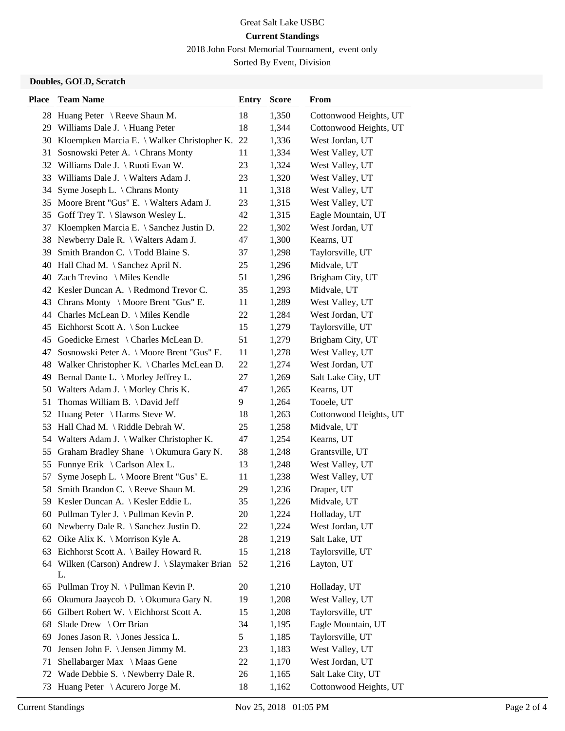2018 John Forst Memorial Tournament, event only

Sorted By Event, Division

## **Doubles, GOLD, Scratch**

| <b>Place</b> | <b>Team Name</b>                               | <b>Entry</b> | <b>Score</b> | From                   |
|--------------|------------------------------------------------|--------------|--------------|------------------------|
|              | 28 Huang Peter \ Reeve Shaun M.                | 18           | 1,350        | Cottonwood Heights, UT |
|              | 29 Williams Dale J. \ Huang Peter              | 18           | 1,344        | Cottonwood Heights, UT |
| 30           | Kloempken Marcia E. \ Walker Christopher K.    | 22           | 1,336        | West Jordan, UT        |
| 31           | Sosnowski Peter A. \ Chrans Monty              | 11           | 1,334        | West Valley, UT        |
|              | 32 Williams Dale J. \ Ruoti Evan W.            | 23           | 1,324        | West Valley, UT        |
|              | 33 Williams Dale J. \ Walters Adam J.          | 23           | 1,320        | West Valley, UT        |
| 34           | Syme Joseph L. $\setminus$ Chrans Monty        | 11           | 1,318        | West Valley, UT        |
|              | 35 Moore Brent "Gus" E. \ Walters Adam J.      | 23           | 1,315        | West Valley, UT        |
|              | 35 Goff Trey T. \ Slawson Wesley L.            | 42           | 1,315        | Eagle Mountain, UT     |
| 37           | Kloempken Marcia E. \ Sanchez Justin D.        | 22           | 1,302        | West Jordan, UT        |
| 38           | Newberry Dale R. \ Walters Adam J.             | 47           | 1,300        | Kearns, UT             |
| 39           | Smith Brandon C. \Todd Blaine S.               | 37           | 1,298        | Taylorsville, UT       |
| 40           | Hall Chad M. \ Sanchez April N.                | 25           | 1,296        | Midvale, UT            |
|              | 40 Zach Trevino \ Miles Kendle                 | 51           | 1,296        | Brigham City, UT       |
|              | 42 Kesler Duncan A. \ Redmond Trevor C.        | 35           | 1,293        | Midvale, UT            |
|              | 43 Chrans Monty \ Moore Brent "Gus" E.         | 11           | 1,289        | West Valley, UT        |
|              | 44 Charles McLean D. \ Miles Kendle            | 22           | 1,284        | West Jordan, UT        |
| 45           | Eichhorst Scott A. \ Son Luckee                | 15           | 1,279        | Taylorsville, UT       |
| 45           | Goedicke Ernest \ Charles McLean D.            | 51           | 1,279        | Brigham City, UT       |
| 47           | Sosnowski Peter A. \ Moore Brent "Gus" E.      | 11           | 1,278        | West Valley, UT        |
|              | 48 Walker Christopher K. \ Charles McLean D.   | 22           | 1,274        | West Jordan, UT        |
| 49           | Bernal Dante L. \ Morley Jeffrey L.            | 27           | 1,269        | Salt Lake City, UT     |
|              | 50 Walters Adam J. \ Morley Chris K.           | 47           | 1,265        | Kearns, UT             |
| 51           | Thomas William B. $\Delta$ David Jeff          | 9            | 1,264        | Tooele, UT             |
|              | 52 Huang Peter \ Harms Steve W.                | 18           | 1,263        | Cottonwood Heights, UT |
| 53           | Hall Chad M. \ Riddle Debrah W.                | 25           | 1,258        | Midvale, UT            |
|              | 54 Walters Adam J. \ Walker Christopher K.     | 47           | 1,254        | Kearns, UT             |
| 55           | Graham Bradley Shane \ Okumura Gary N.         | 38           | 1,248        | Grantsville, UT        |
| 55           | Funnye Erik \ Carlson Alex L.                  | 13           | 1,248        | West Valley, UT        |
| 57           | Syme Joseph L. \ Moore Brent "Gus" E.          | 11           | 1,238        | West Valley, UT        |
| 58           | Smith Brandon C. \ Reeve Shaun M.              | 29           | 1,236        | Draper, UT             |
| 59           | Kesler Duncan A.   Kesler Eddie L.             | 35           | 1,226        | Midvale, UT            |
|              | 60 Pullman Tyler J. \Pullman Kevin P.          | 20           | 1,224        | Holladay, UT           |
|              | 60 Newberry Dale R. \ Sanchez Justin D.        | 22           | 1,224        | West Jordan, UT        |
| 62           | Oike Alix K. \ Morrison Kyle A.                | 28           | 1,219        | Salt Lake, UT          |
|              | 63 Eichhorst Scott A. \ Bailey Howard R.       | 15           | 1,218        | Taylorsville, UT       |
|              | 64 Wilken (Carson) Andrew J. \ Slaymaker Brian | 52           | 1,216        | Layton, UT             |
|              | L.                                             |              |              |                        |
| 65           | Pullman Troy N. \ Pullman Kevin P.             | 20           | 1,210        | Holladay, UT           |
| 66           | Okumura Jaaycob D. \ Okumura Gary N.           | 19           | 1,208        | West Valley, UT        |
| 66           | Gilbert Robert W. \ Eichhorst Scott A.         | 15           | 1,208        | Taylorsville, UT       |
| 68           | Slade Drew \ Orr Brian                         | 34           | 1,195        | Eagle Mountain, UT     |
| 69           | Jones Jason R. \ Jones Jessica L.              | 5            | 1,185        | Taylorsville, UT       |
| 70           | Jensen John F. \ Jensen Jimmy M.               | 23           | 1,183        | West Valley, UT        |
| 71           | Shellabarger Max \ Maas Gene                   | 22           | 1,170        | West Jordan, UT        |
| 72           | Wade Debbie S. \ Newberry Dale R.              | 26           | 1,165        | Salt Lake City, UT     |
| 73           | Huang Peter \ Acurero Jorge M.                 | 18           | 1,162        | Cottonwood Heights, UT |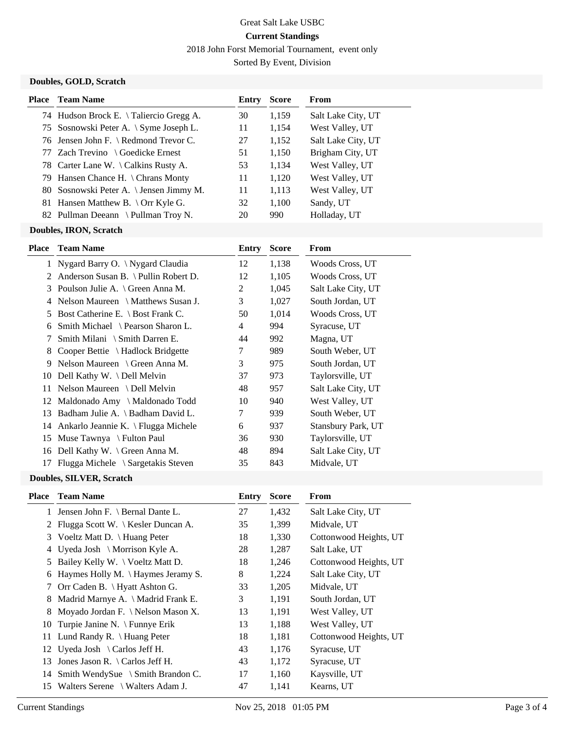2018 John Forst Memorial Tournament, event only

Sorted By Event, Division

## **Doubles, GOLD, Scratch**

| <b>Place</b> Team Name                  | Entry | <b>Score</b> | From               |
|-----------------------------------------|-------|--------------|--------------------|
| 74 Hudson Brock E. \Taliercio Gregg A.  | 30    | 1,159        | Salt Lake City, UT |
| 75 Sosnowski Peter A. \ Syme Joseph L.  | 11    | 1,154        | West Valley, UT    |
| 76 Jensen John F. \ Redmond Trevor C.   | 27    | 1,152        | Salt Lake City, UT |
| 77 Zach Trevino \ Goedicke Ernest       | 51    | 1,150        | Brigham City, UT   |
| 78 Carter Lane W. \ Calkins Rusty A.    | 53    | 1,134        | West Valley, UT    |
| 79 Hansen Chance H. \ Chrans Monty      | 11    | 1,120        | West Valley, UT    |
| 80 Sosnowski Peter A. \ Jensen Jimmy M. | 11    | 1,113        | West Valley, UT    |
| 81 Hansen Matthew B. \ Orr Kyle G.      | 32    | 1.100        | Sandy, UT          |
| 82 Pullman Deeann \ Pullman Troy N.     | 20    | 990          | Holladay, UT       |

#### **Doubles, IRON, Scratch**

| Place | <b>Team Name</b>                             | Entry | <b>Score</b> | From               |
|-------|----------------------------------------------|-------|--------------|--------------------|
|       | 1 Nygard Barry O. \ Nygard Claudia           | 12    | 1,138        | Woods Cross, UT    |
| 2     | Anderson Susan B. \ Pullin Robert D.         | 12    | 1,105        | Woods Cross, UT    |
| 3     | Poulson Julie A. \ Green Anna M.             | 2     | 1,045        | Salt Lake City, UT |
| 4     | Nelson Maureen \ Matthews Susan J.           | 3     | 1,027        | South Jordan, UT   |
| 5     | Bost Catherine E. $\setminus$ Bost Frank C.  | 50    | 1,014        | Woods Cross, UT    |
| 6     | Smith Michael \ Pearson Sharon L.            | 4     | 994          | Syracuse, UT       |
| 7     | Smith Milani $\Im$ Smith Darren E.           | 44    | 992          | Magna, UT          |
| 8     | Cooper Bettie \ Hadlock Bridgette            | 7     | 989          | South Weber, UT    |
| 9     | Nelson Maureen \ Green Anna M.               | 3     | 975          | South Jordan, UT   |
| 10    | Dell Kathy W. \ Dell Melvin                  | 37    | 973          | Taylorsville, UT   |
| 11    | Nelson Maureen \ Dell Melvin                 | 48    | 957          | Salt Lake City, UT |
| 12    | Maldonado Amy \ Maldonado Todd               | 10    | 940          | West Valley, UT    |
| 13    | Badham Julie A. \ Badham David L.            | 7     | 939          | South Weber, UT    |
|       | 14 Ankarlo Jeannie K. \ Flugga Michele       | 6     | 937          | Stansbury Park, UT |
| 15    | Muse Tawnya \ Fulton Paul                    | 36    | 930          | Taylorsville, UT   |
| 16    | Dell Kathy W. \ Green Anna M.                | 48    | 894          | Salt Lake City, UT |
| 17    | Flugga Michele $\setminus$ Sargetakis Steven | 35    | 843          | Midvale, UT        |
|       |                                              |       |              |                    |

## **Doubles, SILVER, Scratch**

| Place           | <b>Team Name</b>                            | Entry | <b>Score</b> | From                   |
|-----------------|---------------------------------------------|-------|--------------|------------------------|
|                 | 1 Jensen John F. \ Bernal Dante L.          | 27    | 1,432        | Salt Lake City, UT     |
|                 | 2 Flugga Scott W.   Kesler Duncan A.        | 35    | 1,399        | Midvale, UT            |
| 3               | Voeltz Matt D. \ Huang Peter                | 18    | 1,330        | Cottonwood Heights, UT |
| 4               | Uyeda Josh \ Morrison Kyle A.               | 28    | 1,287        | Salt Lake, UT          |
| 5               | Bailey Kelly W. \ Voeltz Matt D.            | 18    | 1,246        | Cottonwood Heights, UT |
| 6               | Haymes Holly M. $\langle$ Haymes Jeramy S.  | 8     | 1,224        | Salt Lake City, UT     |
| $7\phantom{.0}$ | Orr Caden B. \ Hyatt Ashton G.              | 33    | 1,205        | Midvale, UT            |
| 8               | Madrid Marnye A. \ Madrid Frank E.          | 3     | 1,191        | South Jordan, UT       |
| 8               | Moyado Jordan F. \ Nelson Mason X.          | 13    | 1,191        | West Valley, UT        |
| 10              | Turpie Janine N. \ Funnye Erik              | 13    | 1,188        | West Valley, UT        |
| 11.             | Lund Randy R. $\langle$ Huang Peter         | 18    | 1,181        | Cottonwood Heights, UT |
|                 | 12 Uyeda Josh \ Carlos Jeff H.              | 43    | 1,176        | Syracuse, UT           |
| 13              | Jones Jason R. $\setminus$ Carlos Jeff H.   | 43    | 1,172        | Syracuse, UT           |
| 14              | Smith WendySue $\setminus$ Smith Brandon C. | 17    | 1,160        | Kaysville, UT          |
| 15              | Walters Serene \ Walters Adam J.            | 47    | 1,141        | Kearns, UT             |
|                 |                                             |       |              |                        |